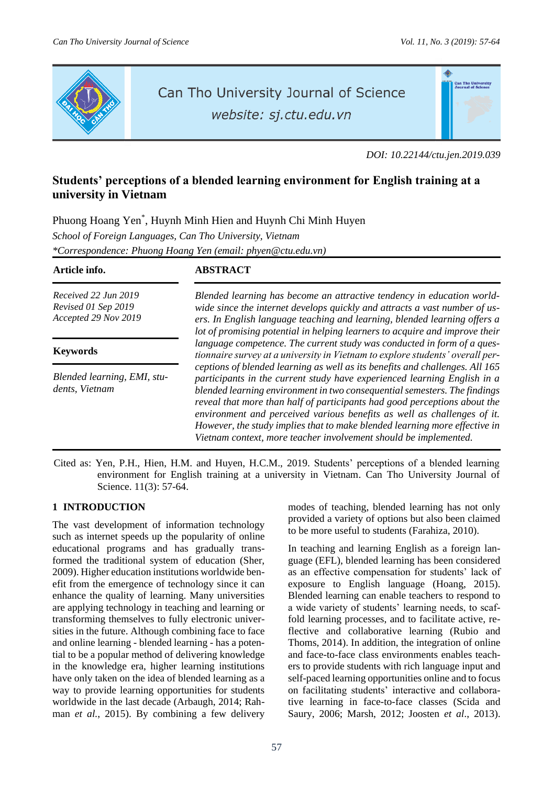

# Can Tho University Journal of Science

website: sj.ctu.edu.vn

*DOI: 10.22144/ctu.jen.2019.039*

# **Students' perceptions of a blended learning environment for English training at a university in Vietnam**

Phuong Hoang Yen\* , Huynh Minh Hien and Huynh Chi Minh Huyen *School of Foreign Languages, Can Tho University, Vietnam \*Correspondence: Phuong Hoang Yen (email: [phyen@ctu.edu.vn\)](mailto:phyen@ctu.edu.vn)*

| Article info.                                                       | ABSTRACT                                                                                                                                                                                                                                                                                                                                                                                                                                                                                                                                        |
|---------------------------------------------------------------------|-------------------------------------------------------------------------------------------------------------------------------------------------------------------------------------------------------------------------------------------------------------------------------------------------------------------------------------------------------------------------------------------------------------------------------------------------------------------------------------------------------------------------------------------------|
| Received 22 Jun 2019<br>Revised 01 Sep 2019<br>Accepted 29 Nov 2019 | Blended learning has become an attractive tendency in education world-<br>wide since the internet develops quickly and attracts a vast number of us-<br>ers. In English language teaching and learning, blended learning offers a<br>lot of promising potential in helping learners to acquire and improve their                                                                                                                                                                                                                                |
| <b>Keywords</b>                                                     | language competence. The current study was conducted in form of a ques-<br>tionnaire survey at a university in Vietnam to explore students' overall per-                                                                                                                                                                                                                                                                                                                                                                                        |
| Blended learning, EMI, stu-<br>dents, Vietnam                       | ceptions of blended learning as well as its benefits and challenges. All 165<br>participants in the current study have experienced learning English in a<br>blended learning environment in two consequential semesters. The findings<br>reveal that more than half of participants had good perceptions about the<br>environment and perceived various benefits as well as challenges of it.<br>However, the study implies that to make blended learning more effective in<br>Vietnam context, more teacher involvement should be implemented. |

Cited as: Yen, P.H., Hien, H.M. and Huyen, H.C.M., 2019. Students' perceptions of a blended learning environment for English training at a university in Vietnam. Can Tho University Journal of Science. 11(3): 57-64.

# **1 INTRODUCTION**

The vast development of information technology such as internet speeds up the popularity of online educational programs and has gradually transformed the traditional system of education (Sher, 2009). Higher education institutions worldwide benefit from the emergence of technology since it can enhance the quality of learning. Many universities are applying technology in teaching and learning or transforming themselves to fully electronic universities in the future. Although combining face to face and online learning - blended learning - has a potential to be a popular method of delivering knowledge in the knowledge era, higher learning institutions have only taken on the idea of blended learning as a way to provide learning opportunities for students worldwide in the last decade (Arbaugh, 2014; Rahman *et al.*, 2015). By combining a few delivery modes of teaching, blended learning has not only provided a variety of options but also been claimed to be more useful to students (Farahiza, 2010).

In teaching and learning English as a foreign language (EFL), blended learning has been considered as an effective compensation for students' lack of exposure to English language (Hoang, 2015). Blended learning can enable teachers to respond to a wide variety of students' learning needs, to scaffold learning processes, and to facilitate active, reflective and collaborative learning (Rubio and Thoms, 2014). In addition, the integration of online and face-to-face class environments enables teachers to provide students with rich language input and self-paced learning opportunities online and to focus on facilitating students' interactive and collaborative learning in face-to-face classes (Scida and Saury, 2006; Marsh, 2012; Joosten *et al*., 2013).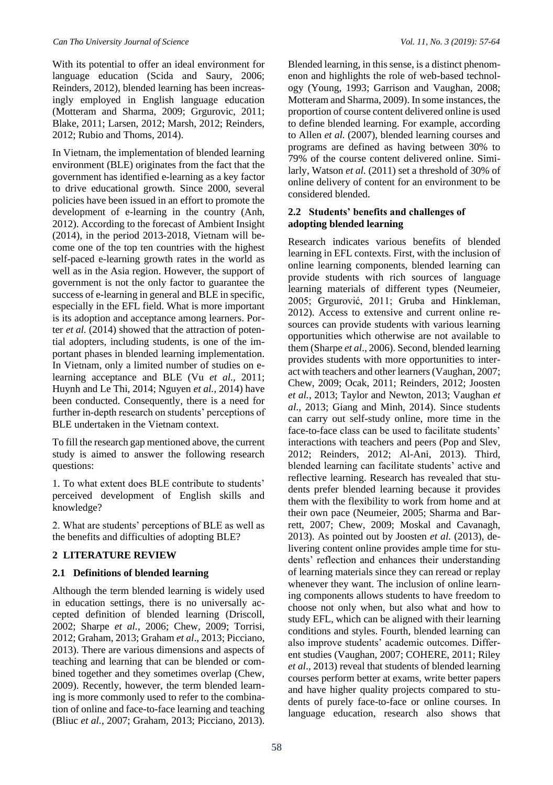With its potential to offer an ideal environment for language education (Scida and Saury, 2006; Reinders, 2012), blended learning has been increasingly employed in English language education (Motteram and Sharma, 2009; Grgurovic, 2011; Blake, 2011; Larsen, 2012; Marsh, 2012; Reinders, 2012; Rubio and Thoms, 2014).

In Vietnam, the implementation of blended learning environment (BLE) originates from the fact that the government has identified e-learning as a key factor to drive educational growth. Since 2000, several policies have been issued in an effort to promote the development of e-learning in the country (Anh, 2012). According to the forecast of Ambient Insight (2014), in the period 2013-2018, Vietnam will become one of the top ten countries with the highest self-paced e-learning growth rates in the world as well as in the Asia region. However, the support of government is not the only factor to guarantee the success of e-learning in general and BLE in specific, especially in the EFL field. What is more important is its adoption and acceptance among learners. Porter *et al.* (2014) showed that the attraction of potential adopters, including students, is one of the important phases in blended learning implementation. In Vietnam, only a limited number of studies on elearning acceptance and BLE (Vu *et al.,* 2011; Huynh and Le Thi, 2014; Nguyen *et al.*, 2014) have been conducted. Consequently, there is a need for further in-depth research on students' perceptions of BLE undertaken in the Vietnam context.

To fill the research gap mentioned above, the current study is aimed to answer the following research questions:

1. To what extent does BLE contribute to students' perceived development of English skills and knowledge?

2. What are students' perceptions of BLE as well as the benefits and difficulties of adopting BLE?

# **2 LITERATURE REVIEW**

#### **2.1 Definitions of blended learning**

Although the term blended learning is widely used in education settings, there is no universally accepted definition of blended learning (Driscoll, 2002; Sharpe *et al.*, 2006; Chew, 2009; Torrisi, 2012; Graham, 2013; Graham *et al*., 2013; Picciano, 2013). There are various dimensions and aspects of teaching and learning that can be blended or combined together and they sometimes overlap (Chew, 2009). Recently, however, the term blended learning is more commonly used to refer to the combination of online and face-to-face learning and teaching (Bliuc *et al.*, 2007; Graham, 2013; Picciano, 2013).

Blended learning, in this sense, is a distinct phenomenon and highlights the role of web-based technology (Young, 1993; Garrison and Vaughan, 2008; Motteram and Sharma, 2009). In some instances, the proportion of course content delivered online is used to define blended learning. For example, according to Allen *et al.* (2007), blended learning courses and programs are defined as having between 30% to 79% of the course content delivered online. Similarly, Watson *et al.* (2011) set a threshold of 30% of online delivery of content for an environment to be considered blended.

# **2.2 Students' benefits and challenges of adopting blended learning**

Research indicates various benefits of blended learning in EFL contexts. First, with the inclusion of online learning components, blended learning can provide students with rich sources of language learning materials of different types (Neumeier, 2005; Grgurović, 2011; Gruba and Hinkleman, 2012). Access to extensive and current online resources can provide students with various learning opportunities which otherwise are not available to them (Sharpe *et al*., 2006). Second, blended learning provides students with more opportunities to interact with teachers and other learners (Vaughan, 2007; Chew, 2009; Ocak, 2011; Reinders, 2012; Joosten *et al.*, 2013; Taylor and Newton, 2013; Vaughan *et al*., 2013; Giang and Minh, 2014). Since students can carry out self-study online, more time in the face-to-face class can be used to facilitate students' interactions with teachers and peers (Pop and Slev, 2012; Reinders, 2012; Al-Ani, 2013). Third, blended learning can facilitate students' active and reflective learning. Research has revealed that students prefer blended learning because it provides them with the flexibility to work from home and at their own pace (Neumeier, 2005; Sharma and Barrett, 2007; Chew, 2009; Moskal and Cavanagh, 2013). As pointed out by Joosten *et al.* (2013), delivering content online provides ample time for students' reflection and enhances their understanding of learning materials since they can reread or replay whenever they want. The inclusion of online learning components allows students to have freedom to choose not only when, but also what and how to study EFL, which can be aligned with their learning conditions and styles. Fourth, blended learning can also improve students' academic outcomes. Different studies (Vaughan, 2007; COHERE, 2011; Riley *et al*., 2013) reveal that students of blended learning courses perform better at exams, write better papers and have higher quality projects compared to students of purely face-to-face or online courses. In language education, research also shows that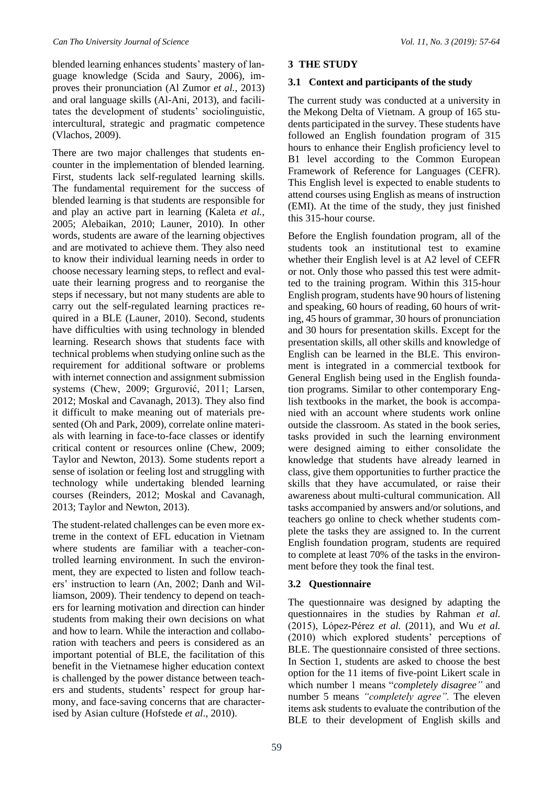blended learning enhances students' mastery of language knowledge (Scida and Saury, 2006), improves their pronunciation (Al Zumor *et al.*, 2013) and oral language skills (Al-Ani, 2013), and facilitates the development of students' sociolinguistic, intercultural, strategic and pragmatic competence (Vlachos, 2009).

There are two major challenges that students encounter in the implementation of blended learning. First, students lack self-regulated learning skills. The fundamental requirement for the success of blended learning is that students are responsible for and play an active part in learning (Kaleta *et al.*, 2005; Alebaikan, 2010; Launer, 2010). In other words, students are aware of the learning objectives and are motivated to achieve them. They also need to know their individual learning needs in order to choose necessary learning steps, to reflect and evaluate their learning progress and to reorganise the steps if necessary, but not many students are able to carry out the self-regulated learning practices required in a BLE (Launer, 2010). Second, students have difficulties with using technology in blended learning. Research shows that students face with technical problems when studying online such as the requirement for additional software or problems with internet connection and assignment submission systems (Chew, 2009; Grgurović, 2011; Larsen, 2012; Moskal and Cavanagh, 2013). They also find it difficult to make meaning out of materials presented (Oh and Park, 2009), correlate online materials with learning in face-to-face classes or identify critical content or resources online (Chew, 2009; Taylor and Newton, 2013). Some students report a sense of isolation or feeling lost and struggling with technology while undertaking blended learning courses (Reinders, 2012; Moskal and Cavanagh, 2013; Taylor and Newton, 2013).

The student-related challenges can be even more extreme in the context of EFL education in Vietnam where students are familiar with a teacher-controlled learning environment. In such the environment, they are expected to listen and follow teachers' instruction to learn (An, 2002; Danh and Williamson, 2009). Their tendency to depend on teachers for learning motivation and direction can hinder students from making their own decisions on what and how to learn. While the interaction and collaboration with teachers and peers is considered as an important potential of BLE, the facilitation of this benefit in the Vietnamese higher education context is challenged by the power distance between teachers and students, students' respect for group harmony, and face-saving concerns that are characterised by Asian culture (Hofstede *et al*., 2010).

# **3 THE STUDY**

# **3.1 Context and participants of the study**

The current study was conducted at a university in the Mekong Delta of Vietnam. A group of 165 students participated in the survey. These students have followed an English foundation program of 315 hours to enhance their English proficiency level to B1 level according to the Common European Framework of Reference for Languages (CEFR). This English level is expected to enable students to attend courses using English as means of instruction (EMI). At the time of the study, they just finished this 315-hour course.

Before the English foundation program, all of the students took an institutional test to examine whether their English level is at A2 level of CEFR or not. Only those who passed this test were admitted to the training program. Within this 315-hour English program, students have 90 hours of listening and speaking, 60 hours of reading, 60 hours of writing, 45 hours of grammar, 30 hours of pronunciation and 30 hours for presentation skills. Except for the presentation skills, all other skills and knowledge of English can be learned in the BLE. This environment is integrated in a commercial textbook for General English being used in the English foundation programs. Similar to other contemporary English textbooks in the market, the book is accompanied with an account where students work online outside the classroom. As stated in the book series, tasks provided in such the learning environment were designed aiming to either consolidate the knowledge that students have already learned in class, give them opportunities to further practice the skills that they have accumulated, or raise their awareness about multi-cultural communication. All tasks accompanied by answers and/or solutions, and teachers go online to check whether students complete the tasks they are assigned to. In the current English foundation program, students are required to complete at least 70% of the tasks in the environment before they took the final test.

# **3.2 Questionnaire**

The questionnaire was designed by adapting the questionnaires in the studies by Rahman *et al.*  (2015), López-Pérez *et al.* (2011), and Wu *et al.* (2010) which explored students' perceptions of BLE. The questionnaire consisted of three sections. In Section 1, students are asked to choose the best option for the 11 items of five-point Likert scale in which number 1 means "*completely disagree"* and number 5 means *"completely agree".* The eleven items ask students to evaluate the contribution of the BLE to their development of English skills and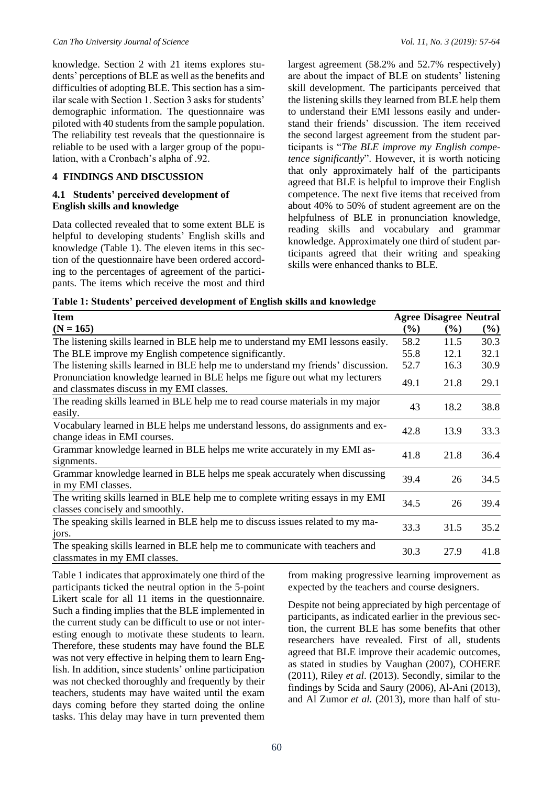knowledge. Section 2 with 21 items explores students' perceptions of BLE as well as the benefits and difficulties of adopting BLE. This section has a similar scale with Section 1. Section 3 asks for students' demographic information. The questionnaire was piloted with 40 students from the sample population. The reliability test reveals that the questionnaire is reliable to be used with a larger group of the population, with a Cronbach's alpha of .92.

#### **4 FINDINGS AND DISCUSSION**

#### **4.1 Students' perceived development of English skills and knowledge**

Data collected revealed that to some extent BLE is helpful to developing students' English skills and knowledge (Table 1). The eleven items in this section of the questionnaire have been ordered according to the percentages of agreement of the participants. The items which receive the most and third largest agreement (58.2% and 52.7% respectively) are about the impact of BLE on students' listening skill development. The participants perceived that the listening skills they learned from BLE help them to understand their EMI lessons easily and understand their friends' discussion. The item received the second largest agreement from the student participants is "*The BLE improve my English competence significantly*". However, it is worth noticing that only approximately half of the participants agreed that BLE is helpful to improve their English competence. The next five items that received from about 40% to 50% of student agreement are on the helpfulness of BLE in pronunciation knowledge, reading skills and vocabulary and grammar knowledge. Approximately one third of student participants agreed that their writing and speaking skills were enhanced thanks to BLE.

**Table 1: Students' perceived development of English skills and knowledge**

| <b>Item</b>                                                                                                               |                            | <b>Agree Disagree Neutral</b> |        |
|---------------------------------------------------------------------------------------------------------------------------|----------------------------|-------------------------------|--------|
| $(N = 165)$                                                                                                               | $\left(\frac{9}{6}\right)$ | $(\%)$                        | $(\%)$ |
| The listening skills learned in BLE help me to understand my EMI lessons easily.                                          | 58.2                       | 11.5                          | 30.3   |
| The BLE improve my English competence significantly.                                                                      | 55.8                       | 12.1                          | 32.1   |
| The listening skills learned in BLE help me to understand my friends' discussion.                                         | 52.7                       | 16.3                          | 30.9   |
| Pronunciation knowledge learned in BLE helps me figure out what my lecturers<br>and classmates discuss in my EMI classes. | 49.1                       | 21.8                          | 29.1   |
| The reading skills learned in BLE help me to read course materials in my major<br>easily.                                 | 43                         | 18.2                          | 38.8   |
| Vocabulary learned in BLE helps me understand lessons, do assignments and ex-<br>change ideas in EMI courses.             | 42.8                       | 13.9                          | 33.3   |
| Grammar knowledge learned in BLE helps me write accurately in my EMI as-<br>signments.                                    | 41.8                       | 21.8                          | 36.4   |
| Grammar knowledge learned in BLE helps me speak accurately when discussing<br>in my EMI classes.                          | 39.4                       | 26                            | 34.5   |
| The writing skills learned in BLE help me to complete writing essays in my EMI<br>classes concisely and smoothly.         | 34.5                       | 26                            | 39.4   |
| The speaking skills learned in BLE help me to discuss issues related to my ma-<br>jors.                                   | 33.3                       | 31.5                          | 35.2   |
| The speaking skills learned in BLE help me to communicate with teachers and<br>classmates in my EMI classes.              | 30.3                       | 27.9                          | 41.8   |

Table 1 indicates that approximately one third of the participants ticked the neutral option in the 5-point Likert scale for all 11 items in the questionnaire. Such a finding implies that the BLE implemented in the current study can be difficult to use or not interesting enough to motivate these students to learn. Therefore, these students may have found the BLE was not very effective in helping them to learn English. In addition, since students' online participation was not checked thoroughly and frequently by their teachers, students may have waited until the exam days coming before they started doing the online tasks. This delay may have in turn prevented them

from making progressive learning improvement as expected by the teachers and course designers.

Despite not being appreciated by high percentage of participants, as indicated earlier in the previous section, the current BLE has some benefits that other researchers have revealed. First of all, students agreed that BLE improve their academic outcomes, as stated in studies by Vaughan (2007), COHERE (2011), Riley *et al*. (2013). Secondly, similar to the findings by Scida and Saury (2006), Al-Ani (2013), and Al Zumor *et al.* (2013), more than half of stu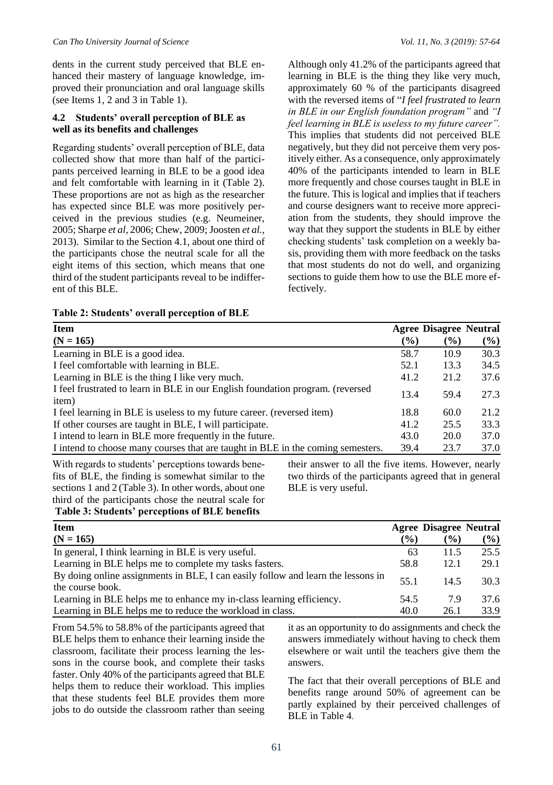dents in the current study perceived that BLE enhanced their mastery of language knowledge, improved their pronunciation and oral language skills (see Items 1, 2 and 3 in Table 1).

# **4.2 Students' overall perception of BLE as well as its benefits and challenges**

Regarding students' overall perception of BLE, data collected show that more than half of the participants perceived learning in BLE to be a good idea and felt comfortable with learning in it (Table 2). These proportions are not as high as the researcher has expected since BLE was more positively perceived in the previous studies (e.g. Neumeiner, 2005; Sharpe *et al,* 2006; Chew, 2009; Joosten *et al.,*  2013). Similar to the Section 4.1, about one third of the participants chose the neutral scale for all the eight items of this section, which means that one third of the student participants reveal to be indifferent of this BLE.

Although only 41.2% of the participants agreed that learning in BLE is the thing they like very much, approximately 60 % of the participants disagreed with the reversed items of "*I feel frustrated to learn in BLE in our English foundation program"* and *"I feel learning in BLE is useless to my future career".*  This implies that students did not perceived BLE negatively, but they did not perceive them very positively either. As a consequence, only approximately 40% of the participants intended to learn in BLE more frequently and chose courses taught in BLE in the future. This is logical and implies that if teachers and course designers want to receive more appreciation from the students, they should improve the way that they support the students in BLE by either checking students' task completion on a weekly basis, providing them with more feedback on the tasks that most students do not do well, and organizing sections to guide them how to use the BLE more effectively.

| Table 2: Students' overall perception of BLE |
|----------------------------------------------|
|                                              |

| <b>Item</b>                                                                             |        | <b>Agree Disagree Neutral</b> |      |
|-----------------------------------------------------------------------------------------|--------|-------------------------------|------|
| $(N = 165)$                                                                             | $(\%)$ | $(\%)$                        | (%)  |
| Learning in BLE is a good idea.                                                         | 58.7   | 10.9                          | 30.3 |
| I feel comfortable with learning in BLE.                                                | 52.1   | 13.3                          | 34.5 |
| Learning in BLE is the thing I like very much.                                          | 41.2   | 21.2                          | 37.6 |
| I feel frustrated to learn in BLE in our English foundation program. (reversed<br>item) | 13.4   | 59.4                          | 27.3 |
| I feel learning in BLE is useless to my future career. (reversed item)                  | 18.8   | 60.0                          | 21.2 |
| If other courses are taught in BLE, I will participate.                                 | 41.2   | 25.5                          | 33.3 |
| I intend to learn in BLE more frequently in the future.                                 | 43.0   | <b>20.0</b>                   | 37.0 |
| I intend to choose many courses that are taught in BLE in the coming semesters.         | 39.4   | 23.7                          | 37.0 |

With regards to students' perceptions towards benefits of BLE, the finding is somewhat similar to the sections 1 and 2 (Table 3). In other words, about one third of the participants chose the neutral scale for **Table 3: Students' perceptions of BLE benefits**

their answer to all the five items. However, nearly two thirds of the participants agreed that in general BLE is very useful.

| <b>Item</b>                                                                      |        | <b>Agree Disagree Neutral</b> |        |
|----------------------------------------------------------------------------------|--------|-------------------------------|--------|
| $(N = 165)$                                                                      | $(\%)$ | $(\%)$                        | $(\%)$ |
| In general, I think learning in BLE is very useful.                              | 63     | 11.5                          | 25.5   |
| Learning in BLE helps me to complete my tasks fasters.                           | 58.8   | 12.1                          | 29.1   |
| By doing online assignments in BLE, I can easily follow and learn the lessons in | 55.1   | 14.5                          | 30.3   |
| the course book.                                                                 |        |                               |        |
| Learning in BLE helps me to enhance my in-class learning efficiency.             | 54.5   | 7.9                           | 37.6   |
| Learning in BLE helps me to reduce the workload in class.                        | 40.0   | 26.1                          | 33.9   |

From 54.5% to 58.8% of the participants agreed that BLE helps them to enhance their learning inside the classroom, facilitate their process learning the lessons in the course book, and complete their tasks faster. Only 40% of the participants agreed that BLE helps them to reduce their workload. This implies that these students feel BLE provides them more jobs to do outside the classroom rather than seeing

it as an opportunity to do assignments and check the answers immediately without having to check them elsewhere or wait until the teachers give them the answers.

The fact that their overall perceptions of BLE and benefits range around 50% of agreement can be partly explained by their perceived challenges of BLE in Table 4.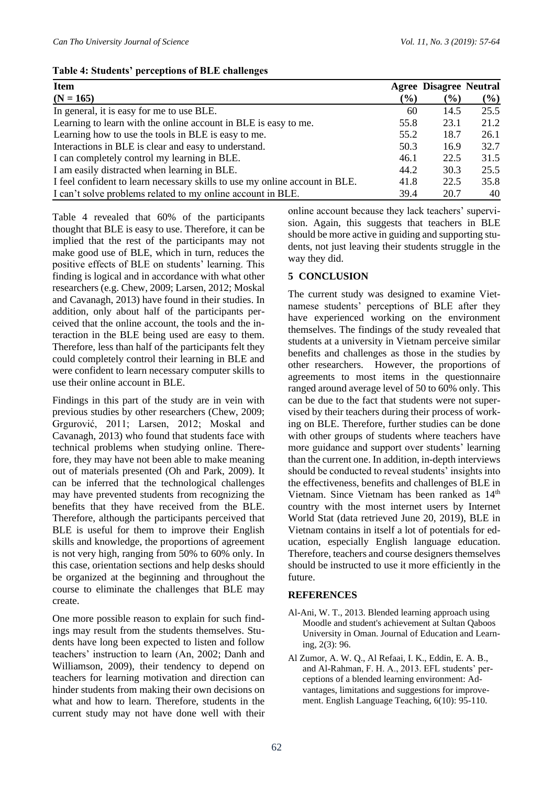# **Table 4: Students' perceptions of BLE challenges**

| <b>Item</b><br>$(N = 165)$                                                  | $($ %) | <b>Agree Disagree Neutral</b><br>$\left( \frac{9}{6} \right)$ | $(\%)$ |
|-----------------------------------------------------------------------------|--------|---------------------------------------------------------------|--------|
| In general, it is easy for me to use BLE.                                   | 60     | 14.5                                                          | 25.5   |
| Learning to learn with the online account in BLE is easy to me.             | 55.8   | 23.1                                                          | 21.2   |
| Learning how to use the tools in BLE is easy to me.                         | 55.2   | 18.7                                                          | 26.1   |
| Interactions in BLE is clear and easy to understand.                        | 50.3   | 16.9                                                          | 32.7   |
| I can completely control my learning in BLE.                                | 46.1   | 22.5                                                          | 31.5   |
| I am easily distracted when learning in BLE.                                | 44.2   | 30.3                                                          | 25.5   |
| I feel confident to learn necessary skills to use my online account in BLE. | 41.8   | 22.5                                                          | 35.8   |
| I can't solve problems related to my online account in BLE.                 | 39.4   | 20.7                                                          | 40     |

Table 4 revealed that 60% of the participants thought that BLE is easy to use. Therefore, it can be implied that the rest of the participants may not make good use of BLE, which in turn, reduces the positive effects of BLE on students' learning. This finding is logical and in accordance with what other researchers (e.g. Chew, 2009; Larsen, 2012; Moskal and Cavanagh, 2013) have found in their studies. In addition, only about half of the participants perceived that the online account, the tools and the interaction in the BLE being used are easy to them. Therefore, less than half of the participants felt they could completely control their learning in BLE and were confident to learn necessary computer skills to use their online account in BLE.

Findings in this part of the study are in vein with previous studies by other researchers (Chew, 2009; Grgurović, 2011; Larsen, 2012; Moskal and Cavanagh, 2013) who found that students face with technical problems when studying online. Therefore, they may have not been able to make meaning out of materials presented (Oh and Park, 2009). It can be inferred that the technological challenges may have prevented students from recognizing the benefits that they have received from the BLE. Therefore, although the participants perceived that BLE is useful for them to improve their English skills and knowledge, the proportions of agreement is not very high, ranging from 50% to 60% only. In this case, orientation sections and help desks should be organized at the beginning and throughout the course to eliminate the challenges that BLE may create.

One more possible reason to explain for such findings may result from the students themselves. Students have long been expected to listen and follow teachers' instruction to learn (An, 2002; Danh and Williamson, 2009), their tendency to depend on teachers for learning motivation and direction can hinder students from making their own decisions on what and how to learn. Therefore, students in the current study may not have done well with their

online account because they lack teachers' supervision. Again, this suggests that teachers in BLE should be more active in guiding and supporting students, not just leaving their students struggle in the way they did.

# **5 CONCLUSION**

The current study was designed to examine Vietnamese students' perceptions of BLE after they have experienced working on the environment themselves. The findings of the study revealed that students at a university in Vietnam perceive similar benefits and challenges as those in the studies by other researchers. However, the proportions of agreements to most items in the questionnaire ranged around average level of 50 to 60% only. This can be due to the fact that students were not supervised by their teachers during their process of working on BLE. Therefore, further studies can be done with other groups of students where teachers have more guidance and support over students' learning than the current one. In addition, in-depth interviews should be conducted to reveal students' insights into the effectiveness, benefits and challenges of BLE in Vietnam. Since Vietnam has been ranked as  $14<sup>th</sup>$ country with the most internet users by Internet World Stat (data retrieved June 20, 2019), BLE in Vietnam contains in itself a lot of potentials for education, especially English language education. Therefore, teachers and course designers themselves should be instructed to use it more efficiently in the future.

# **REFERENCES**

- Al-Ani, W. T., 2013. Blended learning approach using Moodle and student's achievement at Sultan Qaboos University in Oman. Journal of Education and Learning, 2(3): 96.
- Al Zumor, A. W. Q., Al Refaai, I. K., Eddin, E. A. B., and Al-Rahman, F. H. A., 2013. EFL students' perceptions of a blended learning environment: Advantages, limitations and suggestions for improvement. English Language Teaching, 6(10): 95-110.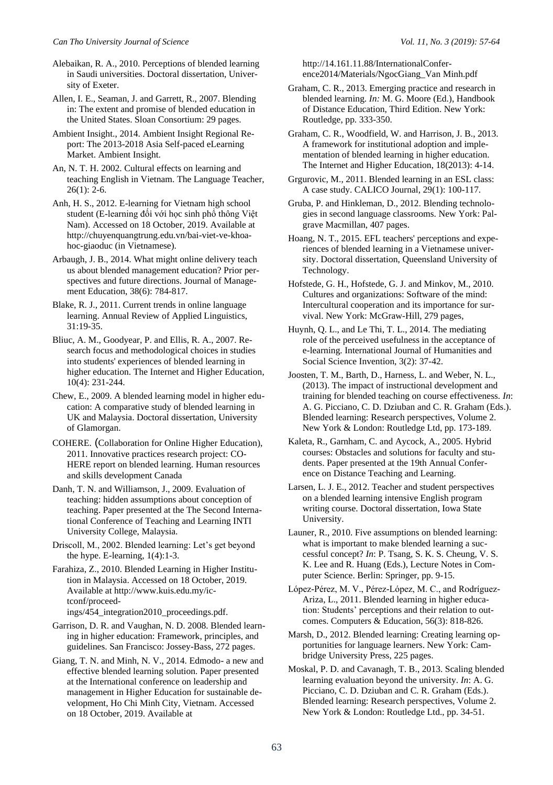Alebaikan, R. A., 2010. Perceptions of blended learning in Saudi universities. Doctoral dissertation, University of Exeter.

Allen, I. E., Seaman, J. and Garrett, R., 2007. Blending in: The extent and promise of blended education in the United States. Sloan Consortium: 29 pages.

Ambient Insight., 2014. Ambient Insight Regional Report: The 2013-2018 Asia Self-paced eLearning Market. Ambient Insight.

An, N. T. H. 2002. Cultural effects on learning and teaching English in Vietnam. The Language Teacher,  $26(1)$ : 2-6.

Anh, H. S., 2012. E-learning for Vietnam high school student (E-learning đối với học sinh phổ thông Việt Nam). Accessed on 18 October, 2019. Available at http://chuyenquangtrung.edu.vn/bai-viet-ve-khoahoc-giaoduc (in Vietnamese).

Arbaugh, J. B., 2014. What might online delivery teach us about blended management education? Prior perspectives and future directions. Journal of Management Education, 38(6): 784-817.

Blake, R. J., 2011. Current trends in online language learning. Annual Review of Applied Linguistics, 31:19-35.

Bliuc, A. M., Goodyear, P. and Ellis, R. A., 2007. Research focus and methodological choices in studies into students' experiences of blended learning in higher education. The Internet and Higher Education, 10(4): 231-244.

Chew, E., 2009. A blended learning model in higher education: A comparative study of blended learning in UK and Malaysia. Doctoral dissertation, University of Glamorgan.

COHERE. (Collaboration for Online Higher Education), 2011. Innovative practices research project: CO-HERE report on blended learning. Human resources and skills development Canada

Danh, T. N. and Williamson, J., 2009. Evaluation of teaching: hidden assumptions about conception of teaching. Paper presented at the The Second International Conference of Teaching and Learning INTI University College, Malaysia.

Driscoll, M., 2002. Blended learning: Let's get beyond the hype. E-learning, 1(4):1-3.

Farahiza, Z., 2010. Blended Learning in Higher Institution in Malaysia. Accessed on 18 October, 2019. Available at http://www.kuis.edu.my/ictconf/proceedings/454\_integration2010\_proceedings.pdf.

Garrison, D. R. and Vaughan, N. D. 2008. Blended learning in higher education: Framework, principles, and guidelines. San Francisco: Jossey-Bass, 272 pages.

Giang, T. N. and Minh, N. V., 2014. Edmodo- a new and effective blended learning solution. Paper presented at the International conference on leadership and management in Higher Education for sustainable development, Ho Chi Minh City, Vietnam. Accessed on 18 October, 2019. Available at

http://14.161.11.88/InternationalConference2014/Materials/NgocGiang\_Van Minh.pdf

Graham, C. R., 2013. Emerging practice and research in blended learning. *In:* M. G. Moore (Ed.), Handbook of Distance Education, Third Edition. New York: Routledge, pp. 333-350.

Graham, C. R., Woodfield, W. and Harrison, J. B., 2013. A framework for institutional adoption and implementation of blended learning in higher education. The Internet and Higher Education, 18(2013): 4-14.

Grgurovic, M., 2011. Blended learning in an ESL class: A case study. CALICO Journal, 29(1): 100-117.

Gruba, P. and Hinkleman, D., 2012. Blending technologies in second language classrooms. New York: Palgrave Macmillan, 407 pages.

Hoang, N. T., 2015. EFL teachers' perceptions and experiences of blended learning in a Vietnamese university. Doctoral dissertation, Queensland University of Technology.

Hofstede, G. H., Hofstede, G. J. and Minkov, M., 2010. Cultures and organizations: Software of the mind: Intercultural cooperation and its importance for survival. New York: McGraw-Hill, 279 pages,

Huynh, Q. L., and Le Thi, T. L., 2014. The mediating role of the perceived usefulness in the acceptance of e-learning. International Journal of Humanities and Social Science Invention, 3(2): 37-42.

Joosten, T. M., Barth, D., Harness, L. and Weber, N. L., (2013). The impact of instructional development and training for blended teaching on course effectiveness. *In*: A. G. Picciano, C. D. Dziuban and C. R. Graham (Eds.). Blended learning: Research perspectives, Volume 2. New York & London: Routledge Ltd, pp. 173-189.

Kaleta, R., Garnham, C. and Aycock, A., 2005. Hybrid courses: Obstacles and solutions for faculty and students. Paper presented at the 19th Annual Conference on Distance Teaching and Learning.

Larsen, L. J. E., 2012. Teacher and student perspectives on a blended learning intensive English program writing course. Doctoral dissertation, Iowa State University.

Launer, R., 2010. Five assumptions on blended learning: what is important to make blended learning a successful concept? *In*: P. Tsang, S. K. S. Cheung, V. S. K. Lee and R. Huang (Eds.), Lecture Notes in Computer Science. Berlin: Springer, pp. 9-15.

López-Pérez, M. V., Pérez-López, M. C., and Rodríguez-Ariza, L., 2011. Blended learning in higher education: Students' perceptions and their relation to outcomes. Computers & Education, 56(3): 818-826.

Marsh, D., 2012. Blended learning: Creating learning opportunities for language learners. New York: Cambridge University Press, 225 pages.

Moskal, P. D. and Cavanagh, T. B., 2013. Scaling blended learning evaluation beyond the university. *In*: A. G. Picciano, C. D. Dziuban and C. R. Graham (Eds.). Blended learning: Research perspectives, Volume 2. New York & London: Routledge Ltd., pp. 34-51.